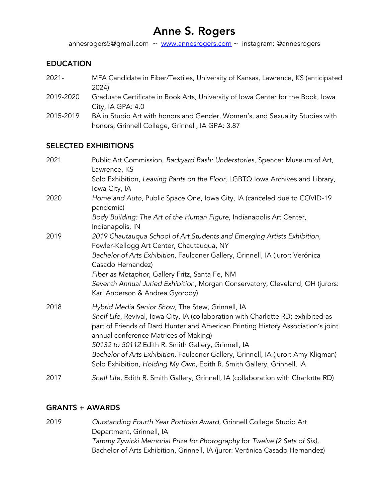# Anne S. Rogers

annesrogers5@gmail.com  $\sim$  www.annesrogers.com  $\sim$  instagram: @annesrogers

## EDUCATION

- 2021- MFA Candidate in Fiber/Textiles, University of Kansas, Lawrence, KS (anticipated 2024)
- 2019-2020 Graduate Certificate in Book Arts, University of Iowa Center for the Book, Iowa City, IA GPA: 4.0
- 2015-2019 BA in Studio Art with honors and Gender, Women's, and Sexuality Studies with honors, Grinnell College, Grinnell, IA GPA: 3.87

# SELECTED EXHIBITIONS

| 2021 | Public Art Commission, Backyard Bash: Understories, Spencer Museum of Art,<br>Lawrence, KS                                                                                                                                                                                                                                |
|------|---------------------------------------------------------------------------------------------------------------------------------------------------------------------------------------------------------------------------------------------------------------------------------------------------------------------------|
|      | Solo Exhibition, Leaving Pants on the Floor, LGBTQ Iowa Archives and Library,<br>Iowa City, IA                                                                                                                                                                                                                            |
| 2020 | Home and Auto, Public Space One, Iowa City, IA (canceled due to COVID-19<br>pandemic)                                                                                                                                                                                                                                     |
|      | Body Building: The Art of the Human Figure, Indianapolis Art Center,<br>Indianapolis, IN                                                                                                                                                                                                                                  |
| 2019 | 2019 Chautauqua School of Art Students and Emerging Artists Exhibition,<br>Fowler-Kellogg Art Center, Chautauqua, NY                                                                                                                                                                                                      |
|      | Bachelor of Arts Exhibition, Faulconer Gallery, Grinnell, IA (juror: Verónica<br>Casado Hernandez)                                                                                                                                                                                                                        |
|      | Fiber as Metaphor, Gallery Fritz, Santa Fe, NM<br>Seventh Annual Juried Exhibition, Morgan Conservatory, Cleveland, OH (jurors:<br>Karl Anderson & Andrea Gyorody)                                                                                                                                                        |
| 2018 | Hybrid Media Senior Show, The Stew, Grinnell, IA<br>Shelf Life, Revival, Iowa City, IA (collaboration with Charlotte RD; exhibited as<br>part of Friends of Dard Hunter and American Printing History Association's joint<br>annual conference Matrices of Making)<br>50132 to 50112 Edith R. Smith Gallery, Grinnell, IA |
|      | Bachelor of Arts Exhibition, Faulconer Gallery, Grinnell, IA (juror: Amy Kligman)<br>Solo Exhibition, Holding My Own, Edith R. Smith Gallery, Grinnell, IA                                                                                                                                                                |
| 2017 | Shelf Life, Edith R. Smith Gallery, Grinnell, IA (collaboration with Charlotte RD)                                                                                                                                                                                                                                        |

#### GRANTS + AWARDS

2019 *Outstanding Fourth Year Portfolio Award*, Grinnell College Studio Art Department, Grinnell, IA *Tammy Zywicki Memorial Prize for Photography* for *Twelve (2 Sets of Six),*  Bachelor of Arts Exhibition, Grinnell, IA (juror: Verónica Casado Hernandez)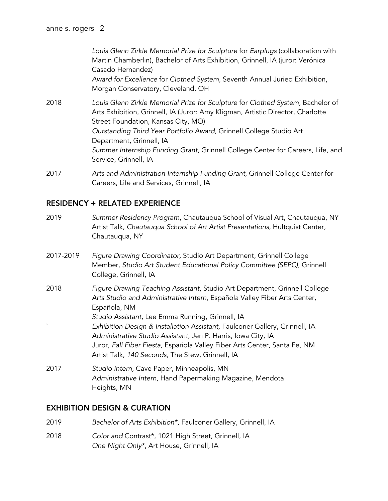*Louis Glenn Zirkle Memorial Prize for Sculpture* for *Earplugs* (collaboration with Martin Chamberlin), Bachelor of Arts Exhibition, Grinnell, IA (juror: Verónica Casado Hernandez) *Award for Excellence* for *Clothed System*, Seventh Annual Juried Exhibition, Morgan Conservatory, Cleveland, OH 2018 *Louis Glenn Zirkle Memorial Prize for Sculpture* for *Clothed System*, Bachelor of Arts Exhibition, Grinnell, IA (Juror: Amy Kligman, Artistic Director, Charlotte Street Foundation, Kansas City, MO) *Outstanding Third Year Portfolio Award*, Grinnell College Studio Art Department, Grinnell, IA *Summer Internship Funding Grant*, Grinnell College Center for Careers, Life, and Service, Grinnell, IA

2017 *Arts and Administration Internship Funding Grant*, Grinnell College Center for Careers, Life and Services, Grinnell, IA

#### RESIDENCY + RELATED EXPERIENCE

- 2019 *Summer Residency Program*, Chautauqua School of Visual Art, Chautauqua, NY Artist Talk, *Chautauqua School of Art Artist Presentations*, Hultquist Center, Chautauqua, NY
- 2017-2019 *Figure Drawing Coordinator,* Studio Art Department, Grinnell College Member, *Studio Art Student Educational Policy Committee (SEPC)*, Grinnell College, Grinnell, IA
- 2018 *Figure Drawing Teaching Assistant*, Studio Art Department, Grinnell College *Arts Studio and Administrative Intern,* Española Valley Fiber Arts Center, Española, NM *Studio Assistant*, Lee Emma Running, Grinnell, IA ` *Exhibition Design & Installation Assistant,* Faulconer Gallery, Grinnell, IA *Administrative Studio Assistant*, Jen P. Harris, Iowa City, IA Juror, *Fall Fiber Fiesta,* Española Valley Fiber Arts Center, Santa Fe, NM Artist Talk, *140 Seconds,* The Stew, Grinnell, IA
- 2017 *Studio Intern,* Cave Paper, Minneapolis, MN *Administrative Intern,* Hand Papermaking Magazine, Mendota Heights, MN

# EXHIBITION DESIGN & CURATION

| 2019 | Bachelor of Arts Exhibition*, Faulconer Gallery, Grinnell, IA |
|------|---------------------------------------------------------------|
| 2018 | Color and Contrast*, 1021 High Street, Grinnell, IA           |

*One Night Only\**, Art House, Grinnell, IA